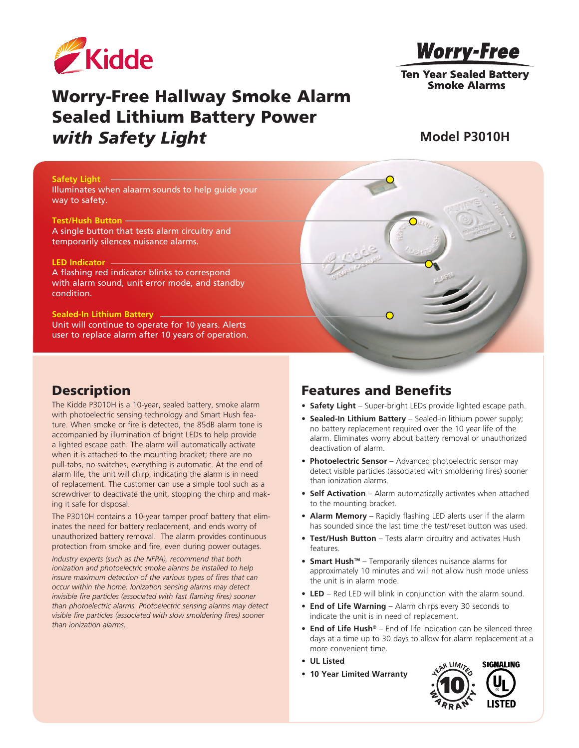

# **Worry-Free**

**Ten Year Sealed Battery Smoke Alarms** 

# Worry-Free Hallway Smoke Alarm Sealed Lithium Battery Power *with Safety Light*

### **Model P3010H**

#### **Safety Light**

Illuminates when alaarm sounds to help guide your way to safety.

#### **Test/Hush Button**

A single button that tests alarm circuitry and temporarily silences nuisance alarms.

#### **LED Indicator**

A flashing red indicator blinks to correspond with alarm sound, unit error mode, and standby condition.

#### **Sealed-In Lithium Battery**

Unit will continue to operate for 10 years. Alerts user to replace alarm after 10 years of operation.

### **Description**

The Kidde P3010H is a 10-year, sealed battery, smoke alarm with photoelectric sensing technology and Smart Hush feature. When smoke or fire is detected, the 85dB alarm tone is accompanied by illumination of bright LEDs to help provide a lighted escape path. The alarm will automatically activate when it is attached to the mounting bracket; there are no pull-tabs, no switches, everything is automatic. At the end of alarm life, the unit will chirp, indicating the alarm is in need of replacement. The customer can use a simple tool such as a screwdriver to deactivate the unit, stopping the chirp and making it safe for disposal.

The P3010H contains a 10-year tamper proof battery that eliminates the need for battery replacement, and ends worry of unauthorized battery removal. The alarm provides continuous protection from smoke and fire, even during power outages.

*Industry experts (such as the NFPA), recommend that both ionization and photoelectric smoke alarms be installed to help insure maximum detection of the various types of fires that can occur within the home. Ionization sensing alarms may detect invisible fire particles (associated with fast flaming fires) sooner than photoelectric alarms. Photoelectric sensing alarms may detect visible fire particles (associated with slow smoldering fires) sooner than ionization alarms.*

## Features and Benefits

- **• Safety Light** Super-bright LEDs provide lighted escape path.
- **• Sealed-In Lithium Battery** Sealed-in lithium power supply; no battery replacement required over the 10 year life of the alarm. Eliminates worry about battery removal or unauthorized deactivation of alarm.
- **Photoelectric Sensor** Advanced photoelectric sensor may detect visible particles (associated with smoldering fires) sooner than ionization alarms.
- **• Self Activation** Alarm automatically activates when attached to the mounting bracket.
- **• Alarm Memory** Rapidly flashing LED alerts user if the alarm has sounded since the last time the test/reset button was used.
- **• Test/Hush Button** Tests alarm circuitry and activates Hush features.
- **Smart Hush™** Temporarily silences nuisance alarms for approximately 10 minutes and will not allow hush mode unless the unit is in alarm mode.
- **• LED** Red LED will blink in conjunction with the alarm sound.
- **• End of Life Warning** Alarm chirps every 30 seconds to indicate the unit is in need of replacement.
- **• End of Life Hush®** End of life indication can be silenced three days at a time up to 30 days to allow for alarm replacement at a more convenient time.
- **• UL Listed**
- **• 10 Year Limited Warranty**